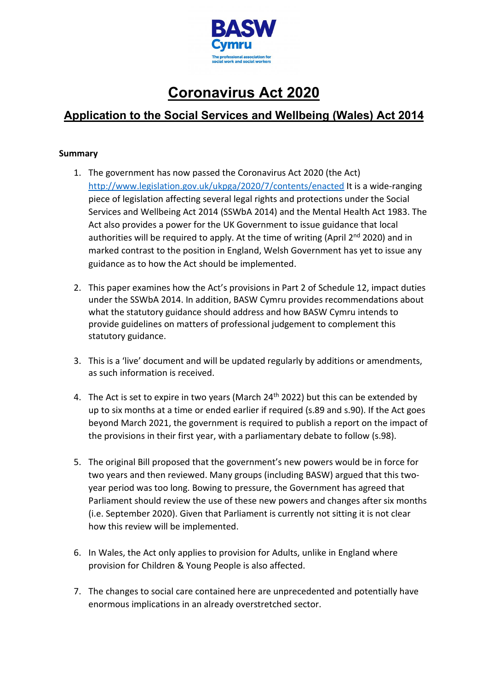

# **Coronavirus Act 2020**

# **Application to the Social Services and Wellbeing (Wales) Act 2014**

#### **Summary**

- 1. The government has now passed the Coronavirus Act 2020 (the Act) <http://www.legislation.gov.uk/ukpga/2020/7/contents/enacted> It is a wide-ranging piece of legislation affecting several legal rights and protections under the Social Services and Wellbeing Act 2014 (SSWbA 2014) and the Mental Health Act 1983. The Act also provides a power for the UK Government to issue guidance that local authorities will be required to apply. At the time of writing (April  $2^{nd}$  2020) and in marked contrast to the position in England, Welsh Government has yet to issue any guidance as to how the Act should be implemented.
- 2. This paper examines how the Act's provisions in Part 2 of Schedule 12, impact duties under the SSWbA 2014. In addition, BASW Cymru provides recommendations about what the statutory guidance should address and how BASW Cymru intends to provide guidelines on matters of professional judgement to complement this statutory guidance.
- 3. This is a 'live' document and will be updated regularly by additions or amendments, as such information is received.
- 4. The Act is set to expire in two years (March  $24<sup>th</sup>$  2022) but this can be extended by up to six months at a time or ended earlier if required (s.89 and s.90). If the Act goes beyond March 2021, the government is required to publish a report on the impact of the provisions in their first year, with a parliamentary debate to follow (s.98).
- 5. The original Bill proposed that the government's new powers would be in force for two years and then reviewed. Many groups (including BASW) argued that this twoyear period was too long. Bowing to pressure, the Government has agreed that Parliament should review the use of these new powers and changes after six months (i.e. September 2020). Given that Parliament is currently not sitting it is not clear how this review will be implemented.
- 6. In Wales, the Act only applies to provision for Adults, unlike in England where provision for Children & Young People is also affected.
- 7. The changes to social care contained here are unprecedented and potentially have enormous implications in an already overstretched sector.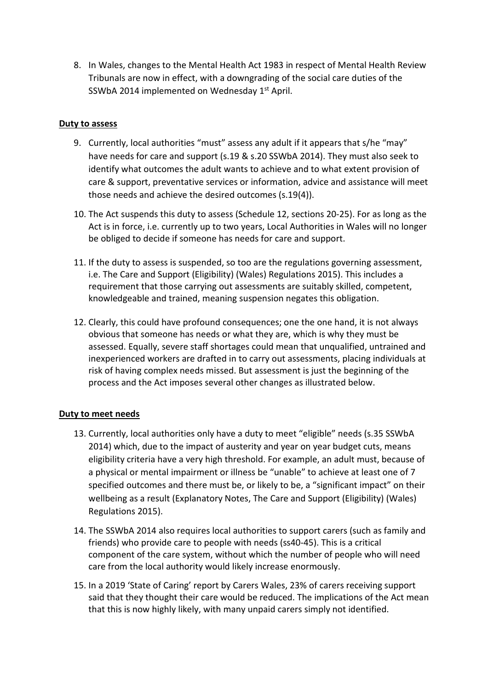8. In Wales, changes to the Mental Health Act 1983 in respect of Mental Health Review Tribunals are now in effect, with a downgrading of the social care duties of the SSWbA 2014 implemented on Wednesday 1<sup>st</sup> April.

#### **Duty to assess**

- 9. Currently, local authorities "must" assess any adult if it appears that s/he "may" have needs for care and support (s.19 & s.20 SSWbA 2014). They must also seek to identify what outcomes the adult wants to achieve and to what extent provision of care & support, preventative services or information, advice and assistance will meet those needs and achieve the desired outcomes (s.19(4)).
- 10. The Act suspends this duty to assess (Schedule 12, sections 20-25). For as long as the Act is in force, i.e. currently up to two years, Local Authorities in Wales will no longer be obliged to decide if someone has needs for care and support.
- 11. If the duty to assess is suspended, so too are the regulations governing assessment, i.e. The Care and Support (Eligibility) (Wales) Regulations 2015). This includes a requirement that those carrying out assessments are suitably skilled, competent, knowledgeable and trained, meaning suspension negates this obligation.
- 12. Clearly, this could have profound consequences; one the one hand, it is not always obvious that someone has needs or what they are, which is why they must be assessed. Equally, severe staff shortages could mean that unqualified, untrained and inexperienced workers are drafted in to carry out assessments, placing individuals at risk of having complex needs missed. But assessment is just the beginning of the process and the Act imposes several other changes as illustrated below.

## **Duty to meet needs**

- 13. Currently, local authorities only have a duty to meet "eligible" needs (s.35 SSWbA 2014) which, due to the impact of austerity and year on year budget cuts, means eligibility criteria have a very high threshold. For example, an adult must, because of a physical or mental impairment or illness be "unable" to achieve at least one of 7 specified outcomes and there must be, or likely to be, a "significant impact" on their wellbeing as a result (Explanatory Notes, The Care and Support (Eligibility) (Wales) Regulations 2015).
- 14. The SSWbA 2014 also requires local authorities to support carers (such as family and friends) who provide care to people with needs (ss40-45). This is a critical component of the care system, without which the number of people who will need care from the local authority would likely increase enormously.
- 15. In a 2019 'State of Caring' report by Carers Wales, 23% of carers receiving support said that they thought their care would be reduced. The implications of the Act mean that this is now highly likely, with many unpaid carers simply not identified.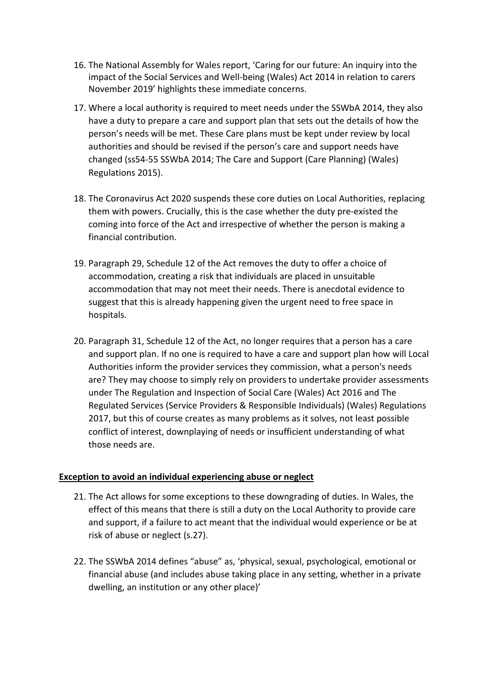- 16. The National Assembly for Wales report, 'Caring for our future: An inquiry into the impact of the Social Services and Well-being (Wales) Act 2014 in relation to carers November 2019' highlights these immediate concerns.
- 17. Where a local authority is required to meet needs under the SSWbA 2014, they also have a duty to prepare a care and support plan that sets out the details of how the person's needs will be met. These Care plans must be kept under review by local authorities and should be revised if the person's care and support needs have changed (ss54-55 SSWbA 2014; The Care and Support (Care Planning) (Wales) Regulations 2015).
- 18. The Coronavirus Act 2020 suspends these core duties on Local Authorities, replacing them with powers. Crucially, this is the case whether the duty pre-existed the coming into force of the Act and irrespective of whether the person is making a financial contribution.
- 19. Paragraph 29, Schedule 12 of the Act removes the duty to offer a choice of accommodation, creating a risk that individuals are placed in unsuitable accommodation that may not meet their needs. There is anecdotal evidence to suggest that this is already happening given the urgent need to free space in hospitals.
- 20. Paragraph 31, Schedule 12 of the Act, no longer requires that a person has a care and support plan. If no one is required to have a care and support plan how will Local Authorities inform the provider services they commission, what a person's needs are? They may choose to simply rely on providers to undertake provider assessments under The Regulation and Inspection of Social Care (Wales) Act 2016 and The Regulated Services (Service Providers & Responsible Individuals) (Wales) Regulations 2017, but this of course creates as many problems as it solves, not least possible conflict of interest, downplaying of needs or insufficient understanding of what those needs are.

## **Exception to avoid an individual experiencing abuse or neglect**

- 21. The Act allows for some exceptions to these downgrading of duties. In Wales, the effect of this means that there is still a duty on the Local Authority to provide care and support, if a failure to act meant that the individual would experience or be at risk of abuse or neglect (s.27).
- 22. The SSWbA 2014 defines "abuse" as, 'physical, sexual, psychological, emotional or financial abuse (and includes abuse taking place in any setting, whether in a private dwelling, an institution or any other place)'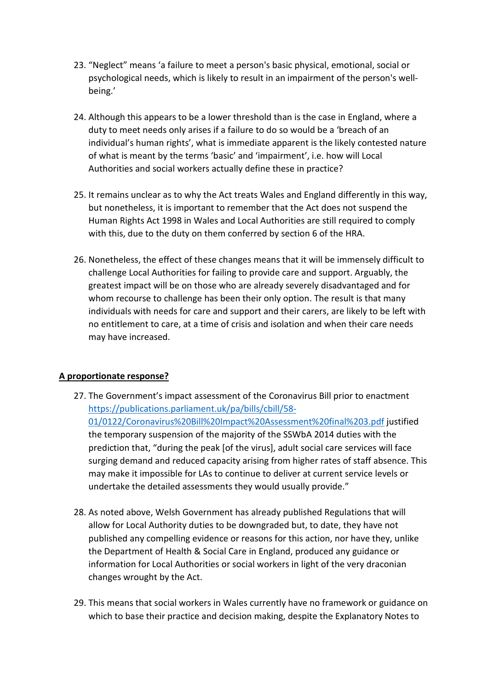- 23. "Neglect" means 'a failure to meet a person's basic physical, emotional, social or psychological needs, which is likely to result in an impairment of the person's wellbeing.'
- 24. Although this appears to be a lower threshold than is the case in England, where a duty to meet needs only arises if a failure to do so would be a 'breach of an individual's human rights', what is immediate apparent is the likely contested nature of what is meant by the terms 'basic' and 'impairment', i.e. how will Local Authorities and social workers actually define these in practice?
- 25. It remains unclear as to why the Act treats Wales and England differently in this way, but nonetheless, it is important to remember that the Act does not suspend the Human Rights Act 1998 in Wales and Local Authorities are still required to comply with this, due to the duty on them conferred by section 6 of the HRA.
- 26. Nonetheless, the effect of these changes means that it will be immensely difficult to challenge Local Authorities for failing to provide care and support. Arguably, the greatest impact will be on those who are already severely disadvantaged and for whom recourse to challenge has been their only option. The result is that many individuals with needs for care and support and their carers, are likely to be left with no entitlement to care, at a time of crisis and isolation and when their care needs may have increased.

## **A proportionate response?**

- 27. The Government's impact assessment of the Coronavirus Bill prior to enactment [https://publications.parliament.uk/pa/bills/cbill/58-](https://publications.parliament.uk/pa/bills/cbill/58-01/0122/Coronavirus%20Bill%20Impact%20Assessment%20final%203.pdf) [01/0122/Coronavirus%20Bill%20Impact%20Assessment%20final%203.pdf](https://publications.parliament.uk/pa/bills/cbill/58-01/0122/Coronavirus%20Bill%20Impact%20Assessment%20final%203.pdf) justified the temporary suspension of the majority of the SSWbA 2014 duties with the prediction that, "during the peak [of the virus], adult social care services will face surging demand and reduced capacity arising from higher rates of staff absence. This may make it impossible for LAs to continue to deliver at current service levels or undertake the detailed assessments they would usually provide."
- 28. As noted above, Welsh Government has already published Regulations that will allow for Local Authority duties to be downgraded but, to date, they have not published any compelling evidence or reasons for this action, nor have they, unlike the Department of Health & Social Care in England, produced any guidance or information for Local Authorities or social workers in light of the very draconian changes wrought by the Act.
- 29. This means that social workers in Wales currently have no framework or guidance on which to base their practice and decision making, despite the Explanatory Notes to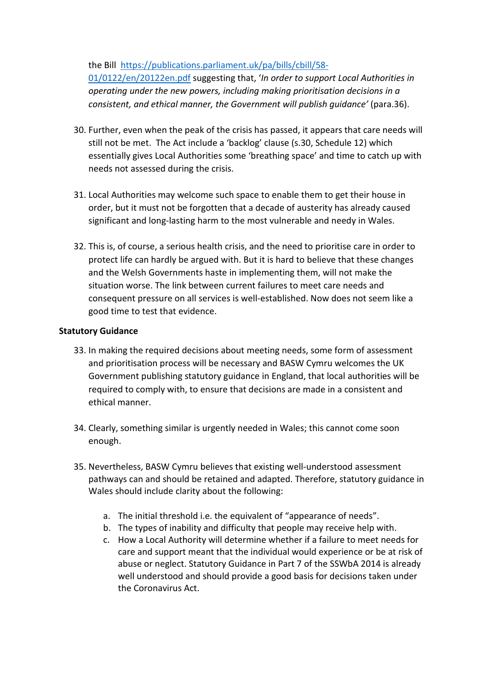the Bill [https://publications.parliament.uk/pa/bills/cbill/58-](https://publications.parliament.uk/pa/bills/cbill/58-01/0122/en/20122en.pdf)

[01/0122/en/20122en.pdf](https://publications.parliament.uk/pa/bills/cbill/58-01/0122/en/20122en.pdf) suggesting that, '*In order to support Local Authorities in operating under the new powers, including making prioritisation decisions in a consistent, and ethical manner, the Government will publish guidance'* (para.36).

- 30. Further, even when the peak of the crisis has passed, it appears that care needs will still not be met. The Act include a 'backlog' clause (s.30, Schedule 12) which essentially gives Local Authorities some 'breathing space' and time to catch up with needs not assessed during the crisis.
- 31. Local Authorities may welcome such space to enable them to get their house in order, but it must not be forgotten that a decade of austerity has already caused significant and long-lasting harm to the most vulnerable and needy in Wales.
- 32. This is, of course, a serious health crisis, and the need to prioritise care in order to protect life can hardly be argued with. But it is hard to believe that these changes and the Welsh Governments haste in implementing them, will not make the situation worse. The link between current failures to meet care needs and consequent pressure on all services is well-established. Now does not seem like a good time to test that evidence.

## **Statutory Guidance**

- 33. In making the required decisions about meeting needs, some form of assessment and prioritisation process will be necessary and BASW Cymru welcomes the UK Government publishing statutory guidance in England, that local authorities will be required to comply with, to ensure that decisions are made in a consistent and ethical manner.
- 34. Clearly, something similar is urgently needed in Wales; this cannot come soon enough.
- 35. Nevertheless, BASW Cymru believes that existing well-understood assessment pathways can and should be retained and adapted. Therefore, statutory guidance in Wales should include clarity about the following:
	- a. The initial threshold i.e. the equivalent of "appearance of needs".
	- b. The types of inability and difficulty that people may receive help with.
	- c. How a Local Authority will determine whether if a failure to meet needs for care and support meant that the individual would experience or be at risk of abuse or neglect. Statutory Guidance in Part 7 of the SSWbA 2014 is already well understood and should provide a good basis for decisions taken under the Coronavirus Act.